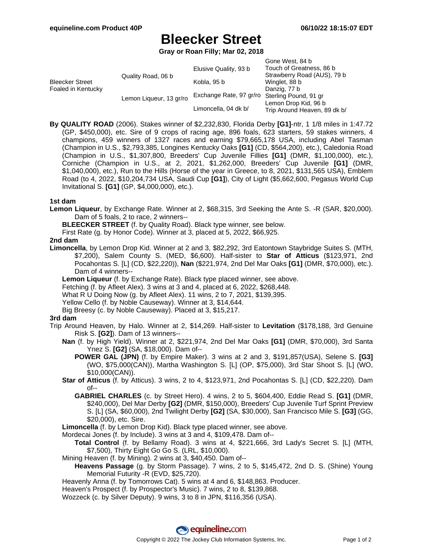# **Bleecker Street**

**Gray or Roan Filly; Mar 02, 2018**

|                                              |                         |                         | Gone West, 84 b              |
|----------------------------------------------|-------------------------|-------------------------|------------------------------|
| <b>Bleecker Street</b><br>Foaled in Kentucky | Quality Road, 06 b      | Elusive Quality, 93 b   | Touch of Greatness, 86 b     |
|                                              |                         |                         | Strawberry Road (AUS), 79 b  |
|                                              |                         | Kobla, 95 b             | Winglet, 88 b                |
|                                              |                         |                         | Danzig, 77 b                 |
|                                              | Lemon Liqueur, 13 gr/ro | Exchange Rate, 97 gr/ro | Sterling Pound, 91 gr        |
|                                              |                         |                         | Lemon Drop Kid, 96 b         |
|                                              |                         | Limoncella, 04 dk b/    | Trip Around Heaven, 89 dk b/ |

**By QUALITY ROAD** (2006). Stakes winner of \$2,232,830, Florida Derby **[G1]**-ntr, 1 1/8 miles in 1:47.72 (GP, \$450,000), etc. Sire of 9 crops of racing age, 896 foals, 623 starters, 59 stakes winners, 4 champions, 459 winners of 1327 races and earning \$79,665,178 USA, including Abel Tasman (Champion in U.S., \$2,793,385, Longines Kentucky Oaks **[G1]** (CD, \$564,200), etc.), Caledonia Road (Champion in U.S., \$1,307,800, Breeders' Cup Juvenile Fillies **[G1]** (DMR, \$1,100,000), etc.), Corniche (Champion in U.S., at 2, 2021, \$1,262,000, Breeders' Cup Juvenile **[G1]** (DMR, \$1,040,000), etc.), Run to the Hills (Horse of the year in Greece, to 8, 2021, \$131,565 USA), Emblem Road (to 4, 2022, \$10,204,734 USA, Saudi Cup **[G1]**), City of Light (\$5,662,600, Pegasus World Cup Invitational S. **[G1]** (GP, \$4,000,000), etc.).

#### **1st dam**

**Lemon Liqueur**, by Exchange Rate. Winner at 2, \$68,315, 3rd Seeking the Ante S. -R (SAR, \$20,000). Dam of 5 foals, 2 to race, 2 winners--

**BLEECKER STREET** (f. by Quality Road). Black type winner, see below.

First Rate (g. by Honor Code). Winner at 3, placed at 5, 2022, \$66,925.

### **2nd dam**

**Limoncella**, by Lemon Drop Kid. Winner at 2 and 3, \$82,292, 3rd Eatontown Staybridge Suites S. (MTH, \$7,200), Salem County S. (MED, \$6,600). Half-sister to **Star of Atticus** (\$123,971, 2nd Pocahontas S. [L] (CD, \$22,220)), **Nan** (\$221,974, 2nd Del Mar Oaks **[G1]** (DMR, \$70,000), etc.). Dam of 4 winners--

**Lemon Liqueur** (f. by Exchange Rate). Black type placed winner, see above.

Fetching (f. by Afleet Alex). 3 wins at 3 and 4, placed at 6, 2022, \$268,448.

What R U Doing Now (g. by Afleet Alex). 11 wins, 2 to 7, 2021, \$139,395.

Yellow Cello (f. by Noble Causeway). Winner at 3, \$14,644.

Big Breesy (c. by Noble Causeway). Placed at 3, \$15,217.

#### **3rd dam**

- Trip Around Heaven, by Halo. Winner at 2, \$14,269. Half-sister to **Levitation** (\$178,188, 3rd Genuine Risk S. **[G2]**). Dam of 13 winners--
	- **Nan** (f. by High Yield). Winner at 2, \$221,974, 2nd Del Mar Oaks **[G1]** (DMR, \$70,000), 3rd Santa Ynez S. **[G2]** (SA, \$18,000). Dam of--
		- **POWER GAL (JPN)** (f. by Empire Maker). 3 wins at 2 and 3, \$191,857(USA), Selene S. **[G3]** (WO, \$75,000(CAN)), Martha Washington S. [L] (OP, \$75,000), 3rd Star Shoot S. [L] (WO, \$10,000(CAN)).
	- **Star of Atticus** (f. by Atticus). 3 wins, 2 to 4, \$123,971, 2nd Pocahontas S. [L] (CD, \$22,220). Dam of--
		- **GABRIEL CHARLES** (c. by Street Hero). 4 wins, 2 to 5, \$604,400, Eddie Read S. **[G1]** (DMR, \$240,000), Del Mar Derby **[G2]** (DMR, \$150,000), Breeders' Cup Juvenile Turf Sprint Preview S. [L] (SA, \$60,000), 2nd Twilight Derby **[G2]** (SA, \$30,000), San Francisco Mile S. **[G3]** (GG, \$20,000), etc. Sire.

**Limoncella** (f. by Lemon Drop Kid). Black type placed winner, see above.

Mordecai Jones (f. by Include). 3 wins at 3 and 4, \$109,478. Dam of--

**Total Control** (f. by Bellamy Road). 3 wins at 4, \$221,666, 3rd Lady's Secret S. [L] (MTH, \$7,500), Thirty Eight Go Go S. (LRL, \$10,000).

Mining Heaven (f. by Mining). 2 wins at 3, \$40,450. Dam of--

**Heavens Passage** (g. by Storm Passage). 7 wins, 2 to 5, \$145,472, 2nd D. S. (Shine) Young Memorial Futurity -R (EVD, \$25,720).

Heavenly Anna (f. by Tomorrows Cat). 5 wins at 4 and 6, \$148,863. Producer.

Heaven's Prospect (f. by Prospector's Music). 7 wins, 2 to 8, \$139,868.

Wozzeck (c. by Silver Deputy). 9 wins, 3 to 8 in JPN, \$116,356 (USA).